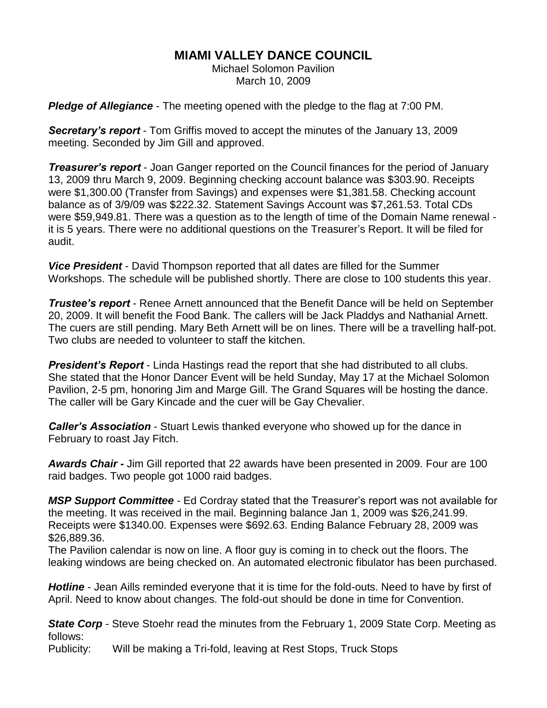## **MIAMI VALLEY DANCE COUNCIL**

Michael Solomon Pavilion March 10, 2009

*Pledge of Allegiance* - The meeting opened with the pledge to the flag at 7:00 PM.

*Secretary's report* - Tom Griffis moved to accept the minutes of the January 13, 2009 meeting. Seconded by Jim Gill and approved.

*Treasurer's report* - Joan Ganger reported on the Council finances for the period of January 13, 2009 thru March 9, 2009. Beginning checking account balance was \$303.90. Receipts were \$1,300.00 (Transfer from Savings) and expenses were \$1,381.58. Checking account balance as of 3/9/09 was \$222.32. Statement Savings Account was \$7,261.53. Total CDs were \$59,949.81. There was a question as to the length of time of the Domain Name renewal it is 5 years. There were no additional questions on the Treasurer's Report. It will be filed for audit.

*Vice President* - David Thompson reported that all dates are filled for the Summer Workshops. The schedule will be published shortly. There are close to 100 students this year.

*Trustee's report* - Renee Arnett announced that the Benefit Dance will be held on September 20, 2009. It will benefit the Food Bank. The callers will be Jack Pladdys and Nathanial Arnett. The cuers are still pending. Mary Beth Arnett will be on lines. There will be a travelling half-pot. Two clubs are needed to volunteer to staff the kitchen.

*President's Report* - Linda Hastings read the report that she had distributed to all clubs. She stated that the Honor Dancer Event will be held Sunday, May 17 at the Michael Solomon Pavilion, 2-5 pm, honoring Jim and Marge Gill. The Grand Squares will be hosting the dance. The caller will be Gary Kincade and the cuer will be Gay Chevalier.

*Caller's Association* - Stuart Lewis thanked everyone who showed up for the dance in February to roast Jay Fitch.

*Awards Chair -* Jim Gill reported that 22 awards have been presented in 2009. Four are 100 raid badges. Two people got 1000 raid badges.

*MSP Support Committee* - Ed Cordray stated that the Treasurer's report was not available for the meeting. It was received in the mail. Beginning balance Jan 1, 2009 was \$26,241.99. Receipts were \$1340.00. Expenses were \$692.63. Ending Balance February 28, 2009 was \$26,889.36.

The Pavilion calendar is now on line. A floor guy is coming in to check out the floors. The leaking windows are being checked on. An automated electronic fibulator has been purchased.

*Hotline* - Jean Aills reminded everyone that it is time for the fold-outs. Need to have by first of April. Need to know about changes. The fold-out should be done in time for Convention.

**State Corp** - Steve Stoehr read the minutes from the February 1, 2009 State Corp. Meeting as follows:

Publicity: Will be making a Tri-fold, leaving at Rest Stops, Truck Stops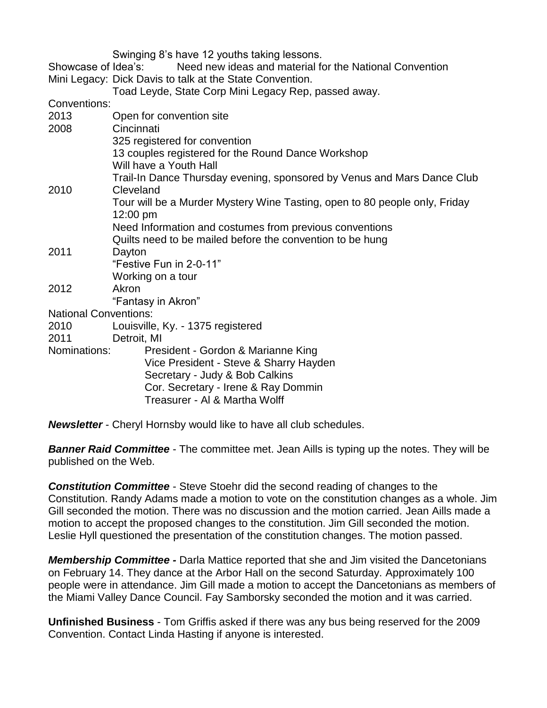Swinging 8's have 12 youths taking lessons.

Showcase of Idea's: Need new ideas and material for the National Convention Mini Legacy: Dick Davis to talk at the State Convention.

Toad Leyde, State Corp Mini Legacy Rep, passed away.

Conventions:

| <b>UUITULIUUI</b>            |                                                                            |
|------------------------------|----------------------------------------------------------------------------|
| 2013                         | Open for convention site                                                   |
| 2008                         | Cincinnati                                                                 |
|                              | 325 registered for convention                                              |
|                              | 13 couples registered for the Round Dance Workshop                         |
|                              | Will have a Youth Hall                                                     |
|                              | Trail-In Dance Thursday evening, sponsored by Venus and Mars Dance Club    |
| 2010                         | Cleveland                                                                  |
|                              | Tour will be a Murder Mystery Wine Tasting, open to 80 people only, Friday |
|                              | $12:00 \text{ pm}$                                                         |
|                              | Need Information and costumes from previous conventions                    |
|                              | Quilts need to be mailed before the convention to be hung                  |
| 2011                         | Dayton                                                                     |
|                              | "Festive Fun in 2-0-11"                                                    |
|                              | Working on a tour                                                          |
| 2012                         | Akron                                                                      |
|                              | "Fantasy in Akron"                                                         |
| <b>National Conventions:</b> |                                                                            |
| 2010                         | Louisville, Ky. - 1375 registered                                          |
| 2011                         | Detroit, MI                                                                |
| Nominations:                 | President - Gordon & Marianne King                                         |
|                              | Vice President - Steve & Sharry Hayden                                     |
|                              | Secretary - Judy & Bob Calkins                                             |
|                              | Cor. Secretary - Irene & Ray Dommin                                        |
|                              | Treasurer - Al & Martha Wolff                                              |
|                              |                                                                            |

*Newsletter* - Cheryl Hornsby would like to have all club schedules.

**Banner Raid Committee** - The committee met. Jean Aills is typing up the notes. They will be published on the Web.

*Constitution Committee* - Steve Stoehr did the second reading of changes to the Constitution. Randy Adams made a motion to vote on the constitution changes as a whole. Jim Gill seconded the motion. There was no discussion and the motion carried. Jean Aills made a motion to accept the proposed changes to the constitution. Jim Gill seconded the motion. Leslie Hyll questioned the presentation of the constitution changes. The motion passed.

*Membership Committee -* Darla Mattice reported that she and Jim visited the Dancetonians on February 14. They dance at the Arbor Hall on the second Saturday. Approximately 100 people were in attendance. Jim Gill made a motion to accept the Dancetonians as members of the Miami Valley Dance Council. Fay Samborsky seconded the motion and it was carried.

**Unfinished Business** - Tom Griffis asked if there was any bus being reserved for the 2009 Convention. Contact Linda Hasting if anyone is interested.